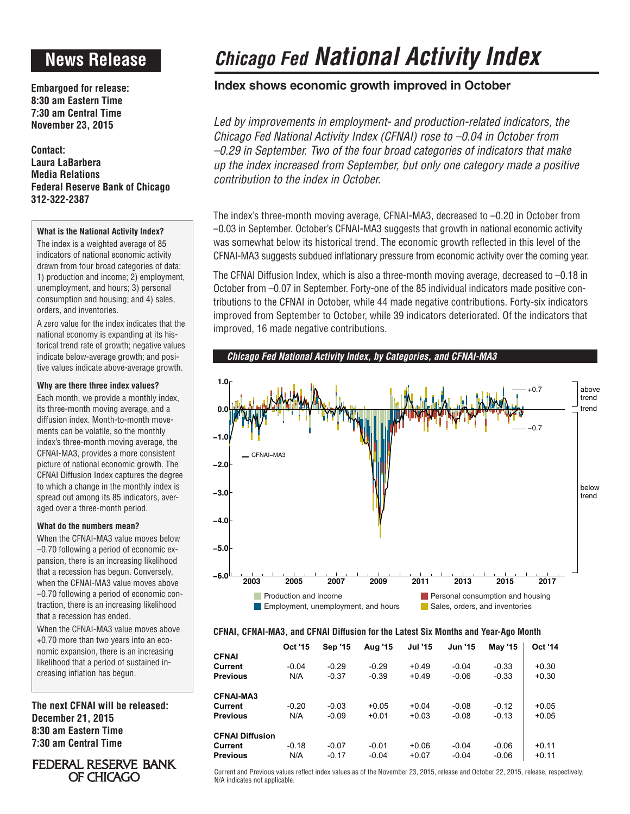# **News Release**

**Embargoed for release: 8:30 am Eastern Time 7:30 am Central Time November 23, 2015**

**Contact: Laura LaBarbera Media Relations Federal Reserve Bank of Chicago 312-322-2387**

### **What is the National Activity Index?**

The index is a weighted average of 85 indicators of national economic activity drawn from four broad categories of data: 1) production and income; 2) employment, unemployment, and hours; 3) personal consumption and housing; and 4) sales, orders, and inventories.

A zero value for the index indicates that the national economy is expanding at its historical trend rate of growth; negative values indicate below-average growth; and positive values indicate above-average growth.

### **Why are there three index values?**

Each month, we provide a monthly index, its three-month moving average, and a diffusion index. Month-to-month movements can be volatile, so the monthly index's three-month moving average, the CFNAI-MA3, provides a more consistent picture of national economic growth. The CFNAI Diffusion Index captures the degree to which a change in the monthly index is spread out among its 85 indicators, averaged over a three-month period.

### **What do the numbers mean?**

When the CFNAI-MA3 value moves below –0.70 following a period of economic expansion, there is an increasing likelihood that a recession has begun. Conversely, when the CFNAI-MA3 value moves above –0.70 following a period of economic contraction, there is an increasing likelihood that a recession has ended.

When the CFNAI-MA3 value moves above +0.70 more than two years into an economic expansion, there is an increasing likelihood that a period of sustained increasing inflation has begun.

**The next CFNAI will be released: December 21, 2015 8:30 am Eastern Time 7:30 am Central Time**

## FEDERAL RESERVE BANK OF CHICAGO

# *Chicago Fed National Activity Index*

# **Index shows economic growth improved in October**

*Led by improvements in employment- and production-related indicators, the Chicago Fed National Activity Index (CFNAI) rose to –0.04 in October from –0.29 in September. Two of the four broad categories of indicators that make up the index increased from September, but only one category made a positive contribution to the index in October.*

The index's three-month moving average, CFNAI-MA3, decreased to –0.20 in October from –0.03 in September. October's CFNAI-MA3 suggests that growth in national economic activity was somewhat below its historical trend. The economic growth reflected in this level of the CFNAI-MA3 suggests subdued inflationary pressure from economic activity over the coming year.

The CFNAI Diffusion Index, which is also a three-month moving average, decreased to –0.18 in October from –0.07 in September. Forty-one of the 85 individual indicators made positive contributions to the CFNAI in October, while 44 made negative contributions. Forty-six indicators improved from September to October, while 39 indicators deteriorated. Of the indicators that improved, 16 made negative contributions.

*Chicago Fed National Activity Index, by Categories, and CFNAI-MA3*



### **CFNAI, CFNAI-MA3, and CFNAI Diffusion for the Latest Six Months and Year-Ago Month**

|                        | <b>Oct '15</b> | <b>Sep '15</b> | Aug '15 | <b>Jul '15</b> | <b>Jun '15</b> | <b>May '15</b> | <b>Oct '14</b> |
|------------------------|----------------|----------------|---------|----------------|----------------|----------------|----------------|
| <b>CFNAI</b>           |                |                |         |                |                |                |                |
| Current                | $-0.04$        | $-0.29$        | $-0.29$ | $+0.49$        | $-0.04$        | $-0.33$        | $+0.30$        |
| <b>Previous</b>        | N/A            | $-0.37$        | $-0.39$ | $+0.49$        | $-0.06$        | $-0.33$        | $+0.30$        |
| <b>CFNAI-MA3</b>       |                |                |         |                |                |                |                |
| Current                | $-0.20$        | $-0.03$        | $+0.05$ | $+0.04$        | $-0.08$        | $-0.12$        | $+0.05$        |
| <b>Previous</b>        | N/A            | $-0.09$        | $+0.01$ | $+0.03$        | $-0.08$        | $-0.13$        | $+0.05$        |
| <b>CFNAI Diffusion</b> |                |                |         |                |                |                |                |
| Current                | $-0.18$        | $-0.07$        | $-0.01$ | $+0.06$        | $-0.04$        | $-0.06$        | $+0.11$        |
| <b>Previous</b>        | N/A            | $-0.17$        | $-0.04$ | $+0.07$        | $-0.04$        | $-0.06$        | $+0.11$        |

Current and Previous values reflect index values as of the November 23, 2015, release and October 22, 2015, release, respectively. N/A indicates not applicable.